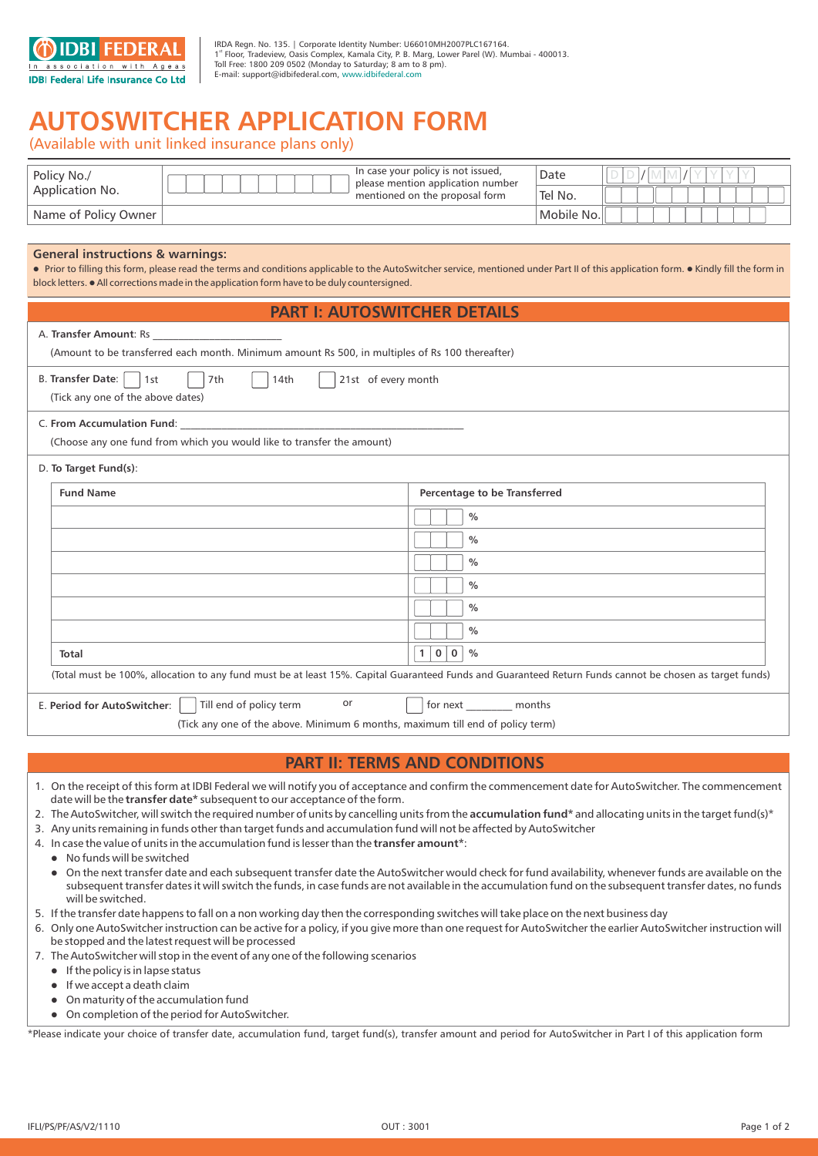

IRDA Regn. No. 135. | Corporate Identity Number: U66010MH2007PLC167164. st 1 Floor, Tradeview, Oasis Complex, Kamala City, P. B. Marg, Lower Parel (W). Mumbai - 400013. Toll Free: 1800 209 0502 (Monday to Saturday; 8 am to 8 pm). E-mail: support@idbifederal.com, www.idbifederal.com

## **AUTOSWITCHER APPLICATION FORM**

(Available with unit linked insurance plans only)

| Policy No./<br>Application No. | In case your policy is not issued,<br>please mention application number<br>mentioned on the proposal form | Date       |  |
|--------------------------------|-----------------------------------------------------------------------------------------------------------|------------|--|
|                                |                                                                                                           | 'Tel No.   |  |
| Name of Policy Owner           |                                                                                                           | Mobile No. |  |

## **General instructions & warnings:**

 $\bullet$  Prior to filling this form, please read the terms and conditions applicable to the AutoSwitcher service, mentioned under Part II of this application form.  $\bullet$  Kindly fill the form in block letters. • All corrections made in the application form have to be duly countersigned.

## **PART I: AUTOSWITCHER DETAILS**

| I AN LEAVEVYIT SHEN PEIAILY                                                                                                                              |                                       |  |
|----------------------------------------------------------------------------------------------------------------------------------------------------------|---------------------------------------|--|
| (Amount to be transferred each month. Minimum amount Rs 500, in multiples of Rs 100 thereafter)                                                          |                                       |  |
| <b>B. Transfer Date:</b><br>21st of every month<br>7th<br>14th<br> 1st <br>(Tick any one of the above dates)                                             |                                       |  |
| (Choose any one fund from which you would like to transfer the amount)                                                                                   |                                       |  |
| D. To Target Fund(s):                                                                                                                                    |                                       |  |
| <b>Fund Name</b>                                                                                                                                         | Percentage to be Transferred          |  |
|                                                                                                                                                          | $\frac{0}{0}$                         |  |
|                                                                                                                                                          | $\%$                                  |  |
|                                                                                                                                                          | $\frac{0}{0}$                         |  |
|                                                                                                                                                          | $\frac{0}{0}$                         |  |
|                                                                                                                                                          | $\frac{0}{0}$                         |  |
|                                                                                                                                                          | $\frac{0}{0}$                         |  |
| <b>Total</b>                                                                                                                                             | 1 0 <br>$\mathbf{0}$<br>$\frac{0}{0}$ |  |
| (Total must be 100%, allocation to any fund must be at least 15%. Capital Guaranteed Funds and Guaranteed Return Funds cannot be chosen as target funds) |                                       |  |
| or<br>Till end of policy term<br>E. Period for AutoSwitcher:<br>for next months                                                                          |                                       |  |
| (Tick any one of the above. Minimum 6 months, maximum till end of policy term)                                                                           |                                       |  |

## **PART II: TERMS AND CONDITIONS**

- 1. On the receipt of this form at IDBI Federal we will notify you of acceptance and confirm the commencement date for AutoSwitcher. The commencement date will be the **transfer date\*** subsequent to our acceptance of the form.
- 2. The AutoSwitcher, will switch the required number of units by cancelling units from the **accumulation fund\*** and allocating units in the target fund(s)\*
- 3. Any units remaining in funds other than target funds and accumulation fund will not be affected by AutoSwitcher
- 4. In case the value of units in the accumulation fund is lesser than the **transfer amount\***:
	- No funds will be switched l
	- On the next transfer date and each subsequent transfer date the AutoSwitcher would check for fund availability, whenever funds are available on the subsequent transfer dates it will switch the funds, in case funds are not available in the accumulation fund on the subsequent transfer dates, no funds will be switched.  $\bullet$
- 5. If the transfer date happens to fall on a non working day then the corresponding switches will take place on the next business day
- 6. Only one AutoSwitcher instruction can be active for a policy, if you give more than one request for AutoSwitcher the earlier AutoSwitcher instruction will be stopped and the latest request will be processed
- 7. The AutoSwitcher will stop in the event of any one of the following scenarios
	- $\bullet$  If the policy is in lapse status
	- If we accept a death claim
	- On maturity of the accumulation fund l
	- On completion of the period for AutoSwitcher. l

\*Please indicate your choice of transfer date, accumulation fund, target fund(s), transfer amount and period for AutoSwitcher in Part I of this application form